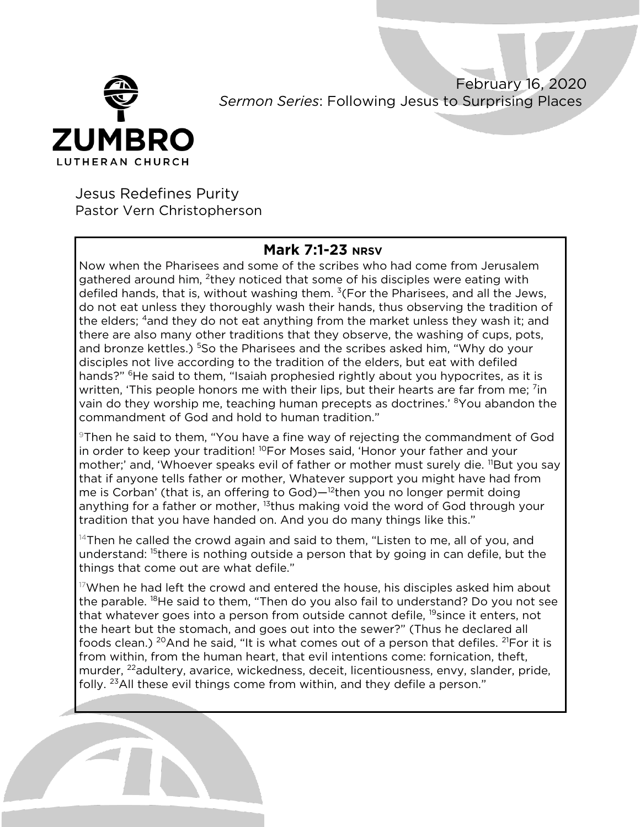

February 16, 2020 *Sermon Series*: Following Jesus to Surprising Places

Jesus Redefines Purity Pastor Vern Christopherson

## **Mark 7:1-23 NRSV**

Now when the Pharisees and some of the scribes who had come from Jerusalem gathered around him, 2they noticed that some of his disciples were eating with defiled hands, that is, without washing them.  $3$ (For the Pharisees, and all the Jews, do not eat unless they thoroughly wash their hands, thus observing the tradition of the elders; <sup>4</sup>and they do not eat anything from the market unless they wash it; and there are also many other traditions that they observe, the washing of cups, pots, and bronze kettles.) <sup>5</sup>So the Pharisees and the scribes asked him, "Why do your disciples not live according to the tradition of the elders, but eat with defiled hands?" <sup>6</sup>He said to them, "Isaiah prophesied rightly about you hypocrites, as it is written, 'This people honors me with their lips, but their hearts are far from me; <sup>7</sup>in vain do they worship me, teaching human precepts as doctrines.' <sup>8</sup>You abandon the commandment of God and hold to human tradition."

9Then he said to them, "You have a fine way of rejecting the commandment of God in order to keep your tradition! <sup>10</sup>For Moses said, 'Honor your father and your mother;' and, 'Whoever speaks evil of father or mother must surely die. <sup>11</sup>But you say that if anyone tells father or mother, Whatever support you might have had from me is Corban' (that is, an offering to God)—<sup>12</sup>then you no longer permit doing anything for a father or mother, <sup>13</sup>thus making void the word of God through your tradition that you have handed on. And you do many things like this."

 $14$ Then he called the crowd again and said to them, "Listen to me, all of you, and understand: <sup>15</sup>there is nothing outside a person that by going in can defile, but the things that come out are what defile."

 $17$ When he had left the crowd and entered the house, his disciples asked him about the parable. <sup>18</sup>He said to them, "Then do you also fail to understand? Do you not see that whatever goes into a person from outside cannot defile, <sup>19</sup>since it enters, not the heart but the stomach, and goes out into the sewer?" (Thus he declared all foods clean.) <sup>20</sup>And he said, "It is what comes out of a person that defiles. <sup>21</sup>For it is from within, from the human heart, that evil intentions come: fornication, theft, murder, <sup>22</sup>adultery, avarice, wickedness, deceit, licentiousness, envy, slander, pride, folly.  $23$ All these evil things come from within, and they defile a person."